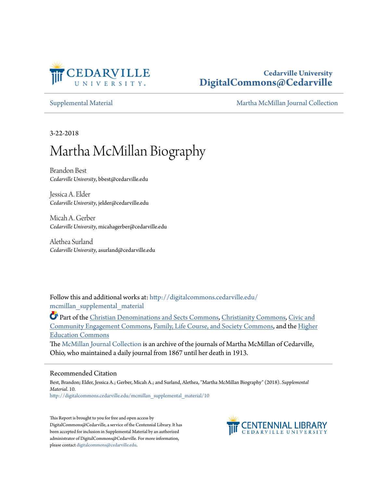

## **Cedarville University [DigitalCommons@Cedarville](http://digitalcommons.cedarville.edu?utm_source=digitalcommons.cedarville.edu%2Fmcmillan_supplemental_material%2F10&utm_medium=PDF&utm_campaign=PDFCoverPages)**

[Supplemental Material](http://digitalcommons.cedarville.edu/mcmillan_supplemental_material?utm_source=digitalcommons.cedarville.edu%2Fmcmillan_supplemental_material%2F10&utm_medium=PDF&utm_campaign=PDFCoverPages) [Martha McMillan Journal Collection](http://digitalcommons.cedarville.edu/mcmillan_journal_collection?utm_source=digitalcommons.cedarville.edu%2Fmcmillan_supplemental_material%2F10&utm_medium=PDF&utm_campaign=PDFCoverPages)

3-22-2018

# Martha McMillan Biography

Brandon Best *Cedarville University*, bbest@cedarville.edu

Jessica A. Elder *Cedarville University*, jelder@cedarville.edu

Micah A. Gerber *Cedarville University*, micahagerber@cedarville.edu

Alethea Surland *Cedarville University*, asurland@cedarville.edu

Follow this and additional works at: [http://digitalcommons.cedarville.edu/](http://digitalcommons.cedarville.edu/mcmillan_supplemental_material?utm_source=digitalcommons.cedarville.edu%2Fmcmillan_supplemental_material%2F10&utm_medium=PDF&utm_campaign=PDFCoverPages) mcmillan supplemental material

Part of the [Christian Denominations and Sects Commons](http://network.bepress.com/hgg/discipline/1184?utm_source=digitalcommons.cedarville.edu%2Fmcmillan_supplemental_material%2F10&utm_medium=PDF&utm_campaign=PDFCoverPages), [Christianity Commons,](http://network.bepress.com/hgg/discipline/1181?utm_source=digitalcommons.cedarville.edu%2Fmcmillan_supplemental_material%2F10&utm_medium=PDF&utm_campaign=PDFCoverPages) [Civic and](http://network.bepress.com/hgg/discipline/1028?utm_source=digitalcommons.cedarville.edu%2Fmcmillan_supplemental_material%2F10&utm_medium=PDF&utm_campaign=PDFCoverPages) [Community Engagement Commons,](http://network.bepress.com/hgg/discipline/1028?utm_source=digitalcommons.cedarville.edu%2Fmcmillan_supplemental_material%2F10&utm_medium=PDF&utm_campaign=PDFCoverPages) [Family, Life Course, and Society Commons,](http://network.bepress.com/hgg/discipline/419?utm_source=digitalcommons.cedarville.edu%2Fmcmillan_supplemental_material%2F10&utm_medium=PDF&utm_campaign=PDFCoverPages) and the [Higher](http://network.bepress.com/hgg/discipline/1245?utm_source=digitalcommons.cedarville.edu%2Fmcmillan_supplemental_material%2F10&utm_medium=PDF&utm_campaign=PDFCoverPages) [Education Commons](http://network.bepress.com/hgg/discipline/1245?utm_source=digitalcommons.cedarville.edu%2Fmcmillan_supplemental_material%2F10&utm_medium=PDF&utm_campaign=PDFCoverPages)

The [McMillan Journal Collection](http://digitalcommons.cedarville.edu/mcmillan_journal_collection/) is an archive of the journals of Martha McMillan of Cedarville, Ohio, who maintained a daily journal from 1867 until her death in 1913.

#### Recommended Citation

Best, Brandon; Elder, Jessica A.; Gerber, Micah A.; and Surland, Alethea, "Martha McMillan Biography" (2018). *Supplemental Material*. 10. [http://digitalcommons.cedarville.edu/mcmillan\\_supplemental\\_material/10](http://digitalcommons.cedarville.edu/mcmillan_supplemental_material/10?utm_source=digitalcommons.cedarville.edu%2Fmcmillan_supplemental_material%2F10&utm_medium=PDF&utm_campaign=PDFCoverPages)

This Report is brought to you for free and open access by DigitalCommons@Cedarville, a service of the Centennial Library. It has been accepted for inclusion in Supplemental Material by an authorized administrator of DigitalCommons@Cedarville. For more information, please contact [digitalcommons@cedarville.edu.](mailto:digitalcommons@cedarville.edu)

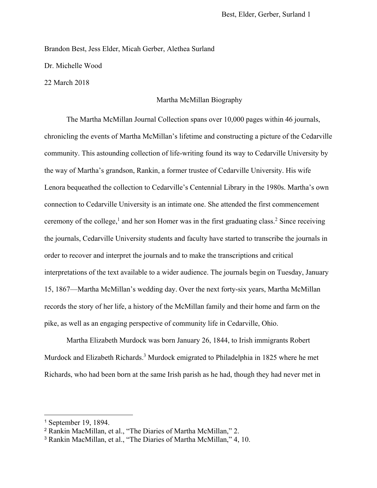Brandon Best, Jess Elder, Micah Gerber, Alethea Surland

Dr. Michelle Wood

22 March 2018

### Martha McMillan Biography

The Martha McMillan Journal Collection spans over 10,000 pages within 46 journals, chronicling the events of Martha McMillan's lifetime and constructing a picture of the Cedarville community. This astounding collection of life-writing found its way to Cedarville University by the way of Martha's grandson, Rankin, a former trustee of Cedarville University. His wife Lenora bequeathed the collection to Cedarville's Centennial Library in the 1980s. Martha's own connection to Cedarville University is an intimate one. She attended the first commencement ceremony of the college,<sup>1</sup> and her son Homer was in the first graduating class.<sup>2</sup> Since receiving the journals, Cedarville University students and faculty have started to transcribe the journals in order to recover and interpret the journals and to make the transcriptions and critical interpretations of the text available to a wider audience. The journals begin on Tuesday, January 15, 1867—Martha McMillan's wedding day. Over the next forty-six years, Martha McMillan records the story of her life, a history of the McMillan family and their home and farm on the pike, as well as an engaging perspective of community life in Cedarville, Ohio.

Martha Elizabeth Murdock was born January 26, 1844, to Irish immigrants Robert Murdock and Elizabeth Richards.<sup>3</sup> Murdock emigrated to Philadelphia in 1825 where he met Richards, who had been born at the same Irish parish as he had, though they had never met in

<sup>1</sup> September 19, 1894.

<sup>2</sup> Rankin MacMillan, et al., "The Diaries of Martha McMillan," 2.

<sup>3</sup> Rankin MacMillan, et al., "The Diaries of Martha McMillan," 4, 10.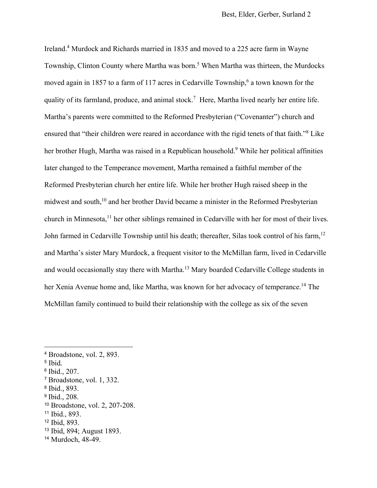Ireland.<sup>4</sup> Murdock and Richards married in 1835 and moved to a 225 acre farm in Wayne Township, Clinton County where Martha was born.<sup>5</sup> When Martha was thirteen, the Murdocks moved again in 1857 to a farm of 117 acres in Cedarville Township,<sup>6</sup> a town known for the quality of its farmland, produce, and animal stock.<sup>7</sup> Here, Martha lived nearly her entire life. Martha's parents were committed to the Reformed Presbyterian ("Covenanter") church and ensured that "their children were reared in accordance with the rigid tenets of that faith."<sup>8</sup> Like her brother Hugh, Martha was raised in a Republican household.<sup>9</sup> While her political affinities later changed to the Temperance movement, Martha remained a faithful member of the Reformed Presbyterian church her entire life. While her brother Hugh raised sheep in the midwest and south,<sup>10</sup> and her brother David became a minister in the Reformed Presbyterian church in Minnesota,<sup>11</sup> her other siblings remained in Cedarville with her for most of their lives. John farmed in Cedarville Township until his death; thereafter, Silas took control of his farm,<sup>12</sup> and Martha's sister Mary Murdock, a frequent visitor to the McMillan farm, lived in Cedarville and would occasionally stay there with Martha.<sup>13</sup> Mary boarded Cedarville College students in her Xenia Avenue home and, like Martha, was known for her advocacy of temperance.<sup>14</sup> The McMillan family continued to build their relationship with the college as six of the seven

5 Ibid*.* 

 $\overline{a}$ 

 $\frac{6}{7}$  Ibid., 207.<br>  $\frac{7}{7}$  Broadstone, vol. 1, 332.

<sup>9</sup> Ibid.*,* 208.

<sup>13</sup> Ibid, 894; August 1893.

<sup>4</sup> Broadstone, vol. 2, 893.

<sup>8</sup> Ibid.*,* 893.

<sup>10</sup> Broadstone, vol. 2, 207-208.

<sup>11</sup> Ibid., 893.

<sup>12</sup> Ibid, 893.

<sup>14</sup> Murdoch, 48-49.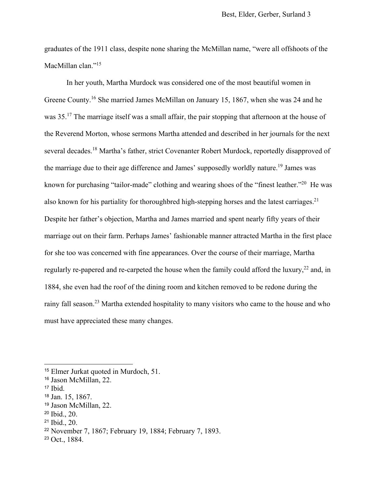graduates of the 1911 class, despite none sharing the McMillan name, "were all offshoots of the MacMillan clan."<sup>15</sup>

In her youth, Martha Murdock was considered one of the most beautiful women in Greene County.16 She married James McMillan on January 15, 1867, when she was 24 and he was 35.<sup>17</sup> The marriage itself was a small affair, the pair stopping that afternoon at the house of the Reverend Morton, whose sermons Martha attended and described in her journals for the next several decades.<sup>18</sup> Martha's father, strict Covenanter Robert Murdock, reportedly disapproved of the marriage due to their age difference and James' supposedly worldly nature.<sup>19</sup> James was known for purchasing "tailor-made" clothing and wearing shoes of the "finest leather."<sup>20</sup> He was also known for his partiality for thoroughbred high-stepping horses and the latest carriages.<sup>21</sup> Despite her father's objection, Martha and James married and spent nearly fifty years of their marriage out on their farm. Perhaps James' fashionable manner attracted Martha in the first place for she too was concerned with fine appearances. Over the course of their marriage, Martha regularly re-papered and re-carpeted the house when the family could afford the luxury,<sup>22</sup> and, in 1884, she even had the roof of the dining room and kitchen removed to be redone during the rainy fall season.<sup>23</sup> Martha extended hospitality to many visitors who came to the house and who must have appreciated these many changes.

<sup>15</sup> Elmer Jurkat quoted in Murdoch, 51.

<sup>16</sup> Jason McMillan, 22.

 $17$  Ibid.

<sup>18</sup> Jan. 15, 1867.

<sup>19</sup> Jason McMillan, 22.

<sup>20</sup> Ibid., 20.

<sup>21</sup> Ibid., 20.

<sup>22</sup> November 7, 1867; February 19, 1884; February 7, 1893.

<sup>23</sup> Oct., 1884.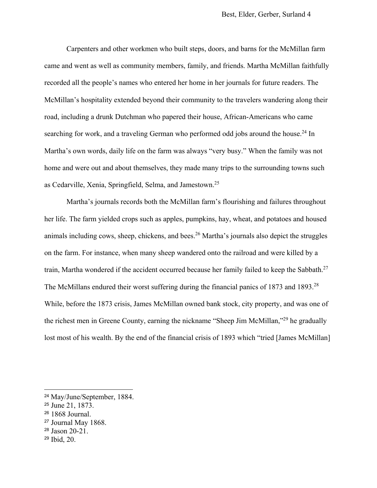Carpenters and other workmen who built steps, doors, and barns for the McMillan farm came and went as well as community members, family, and friends. Martha McMillan faithfully recorded all the people's names who entered her home in her journals for future readers. The McMillan's hospitality extended beyond their community to the travelers wandering along their road, including a drunk Dutchman who papered their house, African-Americans who came searching for work, and a traveling German who performed odd jobs around the house.<sup>24</sup> In Martha's own words, daily life on the farm was always "very busy." When the family was not home and were out and about themselves, they made many trips to the surrounding towns such as Cedarville, Xenia, Springfield, Selma, and Jamestown.25

Martha's journals records both the McMillan farm's flourishing and failures throughout her life. The farm yielded crops such as apples, pumpkins, hay, wheat, and potatoes and housed animals including cows, sheep, chickens, and bees.<sup>26</sup> Martha's journals also depict the struggles on the farm. For instance, when many sheep wandered onto the railroad and were killed by a train, Martha wondered if the accident occurred because her family failed to keep the Sabbath.<sup>27</sup> The McMillans endured their worst suffering during the financial panics of 1873 and 1893.<sup>28</sup> While, before the 1873 crisis, James McMillan owned bank stock, city property, and was one of the richest men in Greene County, earning the nickname "Sheep Jim McMillan,"29 he gradually lost most of his wealth. By the end of the financial crisis of 1893 which "tried [James McMillan]

- <sup>27</sup> Journal May 1868.
- <sup>28</sup> Jason 20-21.
- 29 Ibid, 20.

<sup>24</sup> May/June/September, 1884.

<sup>25</sup> June 21, 1873.

<sup>26</sup> 1868 Journal.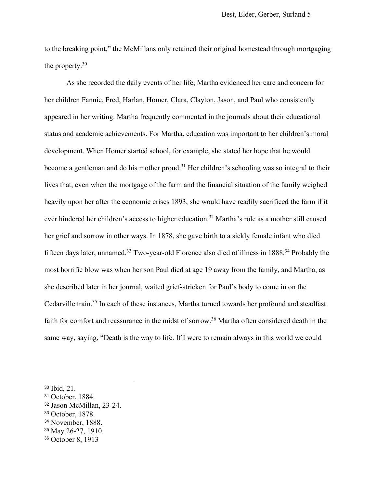to the breaking point," the McMillans only retained their original homestead through mortgaging the property.30

As she recorded the daily events of her life, Martha evidenced her care and concern for her children Fannie, Fred, Harlan, Homer, Clara, Clayton, Jason, and Paul who consistently appeared in her writing. Martha frequently commented in the journals about their educational status and academic achievements. For Martha, education was important to her children's moral development. When Homer started school, for example, she stated her hope that he would become a gentleman and do his mother proud.<sup>31</sup> Her children's schooling was so integral to their lives that, even when the mortgage of the farm and the financial situation of the family weighed heavily upon her after the economic crises 1893, she would have readily sacrificed the farm if it ever hindered her children's access to higher education.<sup>32</sup> Martha's role as a mother still caused her grief and sorrow in other ways. In 1878, she gave birth to a sickly female infant who died fifteen days later, unnamed.33 Two-year-old Florence also died of illness in 1888.34 Probably the most horrific blow was when her son Paul died at age 19 away from the family, and Martha, as she described later in her journal, waited grief-stricken for Paul's body to come in on the Cedarville train.<sup>35</sup> In each of these instances, Martha turned towards her profound and steadfast faith for comfort and reassurance in the midst of sorrow.<sup>36</sup> Martha often considered death in the same way, saying, "Death is the way to life. If I were to remain always in this world we could

<sup>30</sup> Ibid, 21.

<sup>31</sup> October, 1884.

<sup>32</sup> Jason McMillan, 23-24.

<sup>33</sup> October, 1878.

<sup>34</sup> November, 1888.

<sup>35</sup> May 26-27, 1910.

<sup>36</sup> October 8, 1913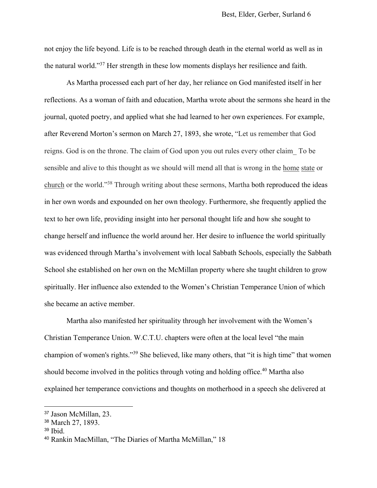not enjoy the life beyond. Life is to be reached through death in the eternal world as well as in the natural world."37 Her strength in these low moments displays her resilience and faith.

As Martha processed each part of her day, her reliance on God manifested itself in her reflections. As a woman of faith and education, Martha wrote about the sermons she heard in the journal, quoted poetry, and applied what she had learned to her own experiences. For example, after Reverend Morton's sermon on March 27, 1893, she wrote, "Let us remember that God reigns. God is on the throne. The claim of God upon you out rules every other claim\_ To be sensible and alive to this thought as we should will mend all that is wrong in the home state or church or the world."38 Through writing about these sermons, Martha both reproduced the ideas in her own words and expounded on her own theology. Furthermore, she frequently applied the text to her own life, providing insight into her personal thought life and how she sought to change herself and influence the world around her. Her desire to influence the world spiritually was evidenced through Martha's involvement with local Sabbath Schools, especially the Sabbath School she established on her own on the McMillan property where she taught children to grow spiritually. Her influence also extended to the Women's Christian Temperance Union of which she became an active member.

Martha also manifested her spirituality through her involvement with the Women's Christian Temperance Union. W.C.T.U. chapters were often at the local level "the main champion of women's rights."39 She believed, like many others, that "it is high time" that women should become involved in the politics through voting and holding office.<sup>40</sup> Martha also explained her temperance convictions and thoughts on motherhood in a speech she delivered at

<sup>37</sup> Jason McMillan, 23.

<sup>38</sup> March 27, 1893.

<sup>39</sup> Ibid.

<sup>40</sup> Rankin MacMillan, "The Diaries of Martha McMillan," 18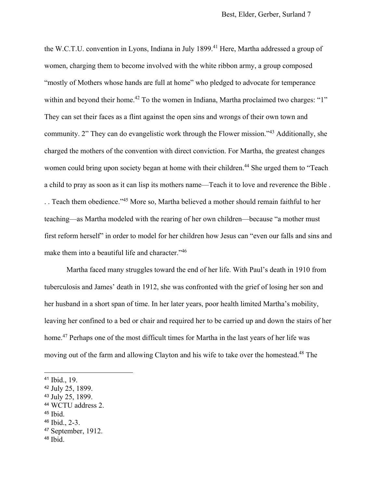the W.C.T.U. convention in Lyons, Indiana in July 1899.<sup>41</sup> Here, Martha addressed a group of women, charging them to become involved with the white ribbon army, a group composed "mostly of Mothers whose hands are full at home" who pledged to advocate for temperance within and beyond their home.<sup>42</sup> To the women in Indiana, Martha proclaimed two charges: "1" They can set their faces as a flint against the open sins and wrongs of their own town and community. 2" They can do evangelistic work through the Flower mission."43 Additionally, she charged the mothers of the convention with direct conviction. For Martha, the greatest changes women could bring upon society began at home with their children.<sup>44</sup> She urged them to "Teach a child to pray as soon as it can lisp its mothers name—Teach it to love and reverence the Bible . . . Teach them obedience."45 More so, Martha believed a mother should remain faithful to her teaching—as Martha modeled with the rearing of her own children—because "a mother must first reform herself" in order to model for her children how Jesus can "even our falls and sins and make them into a beautiful life and character."<sup>46</sup>

Martha faced many struggles toward the end of her life. With Paul's death in 1910 from tuberculosis and James' death in 1912, she was confronted with the grief of losing her son and her husband in a short span of time. In her later years, poor health limited Martha's mobility, leaving her confined to a bed or chair and required her to be carried up and down the stairs of her home.<sup>47</sup> Perhaps one of the most difficult times for Martha in the last years of her life was moving out of the farm and allowing Clayton and his wife to take over the homestead.48 The

<sup>41</sup> Ibid., 19.

<sup>42</sup> July 25, 1899.

<sup>43</sup> July 25, 1899.

<sup>44</sup> WCTU address 2.

<sup>45</sup> Ibid.

<sup>46</sup> Ibid., 2-3.

<sup>47</sup> September, 1912.

<sup>48</sup> Ibid.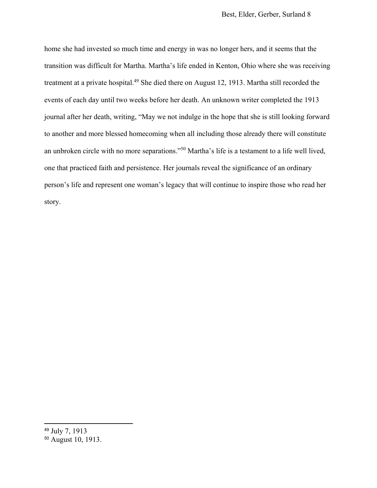home she had invested so much time and energy in was no longer hers, and it seems that the transition was difficult for Martha. Martha's life ended in Kenton, Ohio where she was receiving treatment at a private hospital.<sup>49</sup> She died there on August 12, 1913. Martha still recorded the events of each day until two weeks before her death. An unknown writer completed the 1913 journal after her death, writing, "May we not indulge in the hope that she is still looking forward to another and more blessed homecoming when all including those already there will constitute an unbroken circle with no more separations."50 Martha's life is a testament to a life well lived, one that practiced faith and persistence. Her journals reveal the significance of an ordinary person's life and represent one woman's legacy that will continue to inspire those who read her story.

<sup>49</sup> July 7, 1913

<sup>50</sup> August 10, 1913.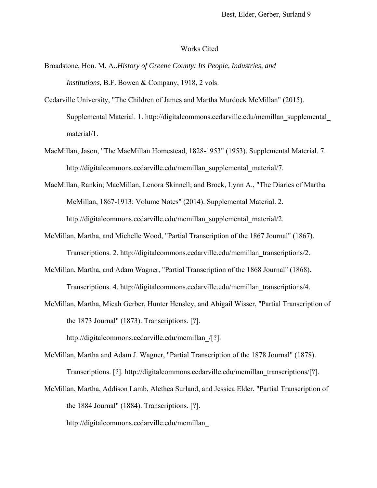#### Works Cited

- Broadstone, Hon. M. A..*History of Greene County: Its People, Industries, and Institutions*, B.F. Bowen & Company, 1918, 2 vols.
- Cedarville University, "The Children of James and Martha Murdock McMillan" (2015). Supplemental Material. 1. http://digitalcommons.cedarville.edu/mcmillan\_supplemental\_ material/1.
- MacMillan, Jason, "The MacMillan Homestead, 1828-1953" (1953). Supplemental Material. 7. http://digitalcommons.cedarville.edu/mcmillan\_supplemental\_material/7.
- MacMillan, Rankin; MacMillan, Lenora Skinnell; and Brock, Lynn A., "The Diaries of Martha McMillan, 1867-1913: Volume Notes" (2014). Supplemental Material. 2. http://digitalcommons.cedarville.edu/mcmillan\_supplemental\_material/2.
- McMillan, Martha, and Michelle Wood, "Partial Transcription of the 1867 Journal" (1867). Transcriptions. 2. http://digitalcommons.cedarville.edu/mcmillan\_transcriptions/2.
- McMillan, Martha, and Adam Wagner, "Partial Transcription of the 1868 Journal" (1868). Transcriptions. 4. http://digitalcommons.cedarville.edu/mcmillan\_transcriptions/4.
- McMillan, Martha, Micah Gerber, Hunter Hensley, and Abigail Wisser, "Partial Transcription of the 1873 Journal" (1873). Transcriptions. [?]. http://digitalcommons.cedarville.edu/mcmillan\_/[?].

McMillan, Martha and Adam J. Wagner, "Partial Transcription of the 1878 Journal" (1878). Transcriptions. [?]. http://digitalcommons.cedarville.edu/mcmillan\_transcriptions/[?].

McMillan, Martha, Addison Lamb, Alethea Surland, and Jessica Elder, "Partial Transcription of the 1884 Journal" (1884). Transcriptions. [?].

http://digitalcommons.cedarville.edu/mcmillan\_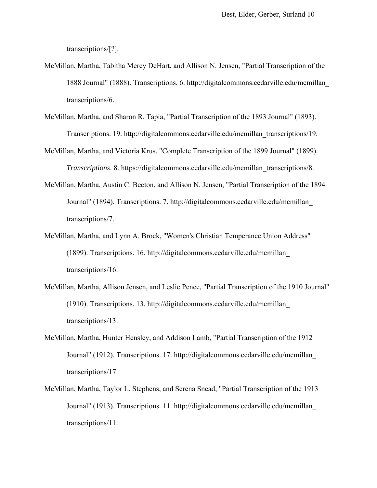transcriptions/[?].

- McMillan, Martha, Tabitha Mercy DeHart, and Allison N. Jensen, "Partial Transcription of the 1888 Journal" (1888). Transcriptions. 6. http://digitalcommons.cedarville.edu/mcmillan\_ transcriptions/6.
- McMillan, Martha, and Sharon R. Tapia, "Partial Transcription of the 1893 Journal" (1893). Transcriptions. 19. http://digitalcommons.cedarville.edu/mcmillan\_transcriptions/19.
- McMillan, Martha, and Victoria Krus, "Complete Transcription of the 1899 Journal" (1899). *Transcriptions*. 8. https://digitalcommons.cedarville.edu/mcmillan\_transcriptions/8.
- McMillan, Martha, Austin C. Becton, and Allison N. Jensen, "Partial Transcription of the 1894 Journal" (1894). Transcriptions. 7. http://digitalcommons.cedarville.edu/mcmillan\_ transcriptions/7.
- McMillan, Martha, and Lynn A. Brock, "Women's Christian Temperance Union Address" (1899). Transcriptions. 16. http://digitalcommons.cedarville.edu/mcmillan\_ transcriptions/16.
- McMillan, Martha, Allison Jensen, and Leslie Pence, "Partial Transcription of the 1910 Journal" (1910). Transcriptions. 13. http://digitalcommons.cedarville.edu/mcmillan\_ transcriptions/13.
- McMillan, Martha, Hunter Hensley, and Addison Lamb, "Partial Transcription of the 1912 Journal" (1912). Transcriptions. 17. http://digitalcommons.cedarville.edu/mcmillan\_ transcriptions/17.
- McMillan, Martha, Taylor L. Stephens, and Serena Snead, "Partial Transcription of the 1913 Journal" (1913). Transcriptions. 11. http://digitalcommons.cedarville.edu/mcmillan\_ transcriptions/11.